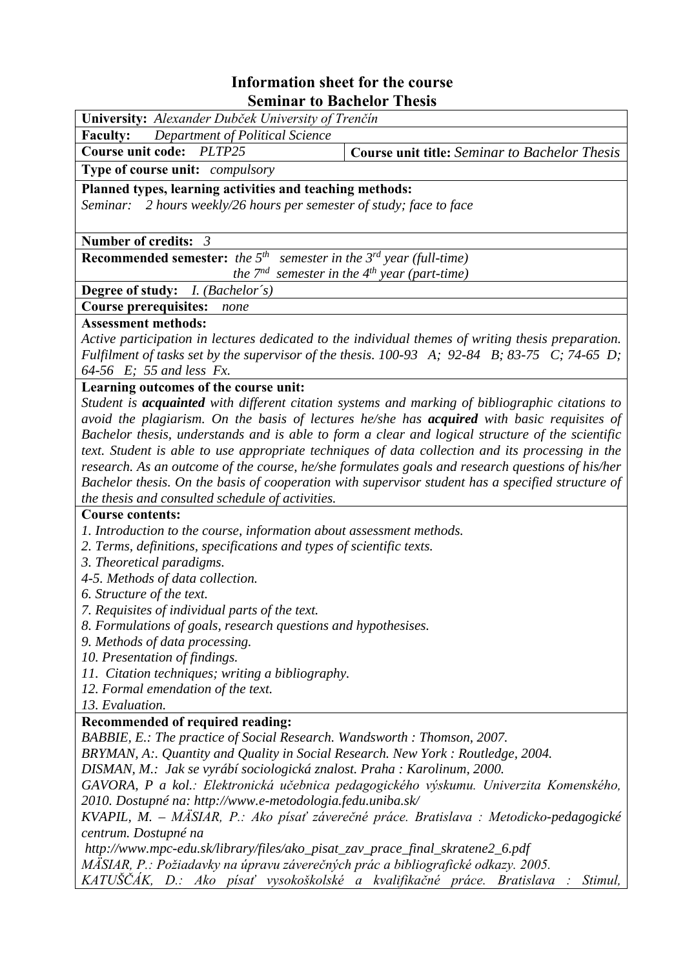# **Information sheet for the course Seminar to Bachelor Thesis**

| University: Alexander Dubček University of Trenčín                            |                                                               |  |  |
|-------------------------------------------------------------------------------|---------------------------------------------------------------|--|--|
| Department of Political Science<br><b>Faculty:</b>                            |                                                               |  |  |
| Course unit code: PLTP25                                                      | <b>Course unit title:</b> Seminar to Bachelor Thesis          |  |  |
| <b>Type of course unit:</b> <i>compulsory</i>                                 |                                                               |  |  |
| Planned types, learning activities and teaching methods:                      |                                                               |  |  |
| Seminar: 2 hours weekly/26 hours per semester of study; face to face          |                                                               |  |  |
|                                                                               |                                                               |  |  |
| Number of credits: $3$                                                        |                                                               |  |  |
| <b>Recommended semester:</b> the $5th$ semester in the $3rd$ year (full-time) |                                                               |  |  |
|                                                                               | the $7^{nd}$ semester in the 4 <sup>th</sup> year (part-time) |  |  |
| <b>Degree of study:</b><br><i>I.</i> (Bachelor's)                             |                                                               |  |  |
|                                                                               |                                                               |  |  |

**Course prerequisites:** *none*

# **Assessment methods:**

*Active participation in lectures dedicated to the individual themes of writing thesis preparation. Fulfilment of tasks set by the supervisor of the thesis. 100-93 A; 92-84 B; 83-75 C; 74-65 D; 64-56 E; 55 and less Fx.*

### **Learning outcomes of the course unit:**

*Student is acquainted with different citation systems and marking of bibliographic citations to avoid the plagiarism. On the basis of lectures he/she has acquired with basic requisites of Bachelor thesis, understands and is able to form a clear and logical structure of the scientific text. Student is able to use appropriate techniques of data collection and its processing in the research. As an outcome of the course, he/she formulates goals and research questions of his/her Bachelor thesis. On the basis of cooperation with supervisor student has a specified structure of the thesis and consulted schedule of activities.* 

#### **Course contents:**

*1. Introduction to the course, information about assessment methods.* 

*2. Terms, definitions, specifications and types of scientific texts.* 

*3. Theoretical paradigms.*

*4-5. Methods of data collection.*

*6. Structure of the text.*

*7. Requisites of individual parts of the text.*

*8. Formulations of goals, research questions and hypothesises.* 

*9. Methods of data processing.* 

*10. Presentation of findings.*

*11. Citation techniques; writing a bibliography.* 

*12. Formal emendation of the text.*

*13. Evaluation.*

# **Recommended of required reading:**

*BABBIE, E.: The practice of Social Research. Wandsworth : Thomson, 2007.*

*BRYMAN, A:. Quantity and Quality in Social Research. New York : Routledge, 2004.*

*DISMAN, M.: Jak se vyrábí sociologická znalost. Praha : Karolinum, 2000.*

GAVORA, P a kol.: Elektronická učebnica pedagogického výskumu. Univerzita Komenského, *2010. Dostupné na: http://www.e-metodologia.fedu.uniba.sk/*

*KVAPIL, M. – 0b6,\$5 3 \$NR StVDĢ ]iYHUHþQp SUiFH %UDWLVODYD 0HWRGLFNR-pedagogické centrum. Dostupné na*

*http://www.mpc-edu.sk/library/files/ako\_pisat\_zav\_prace\_final\_skratene2\_6.pdf MÄSIAR, P.: Požiadavky na úpravu záverečných prác a bibliografické odkazy, 2005.* 

*KATUŠČÁK, D.: Ako písať vysokoškolské a kvalifikačné práce. Bratislava : Stimul,*